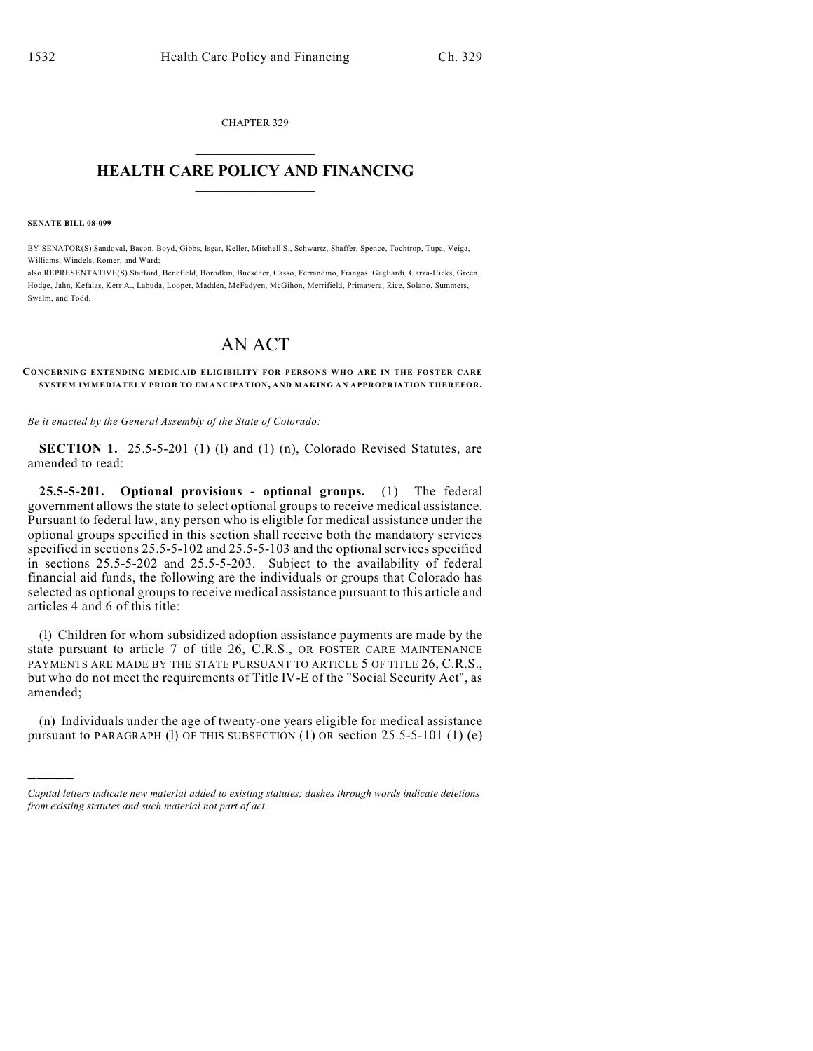CHAPTER 329  $\overline{\phantom{a}}$  . The set of the set of the set of the set of the set of the set of the set of the set of the set of the set of the set of the set of the set of the set of the set of the set of the set of the set of the set o

## **HEALTH CARE POLICY AND FINANCING**  $\_$   $\_$   $\_$   $\_$   $\_$   $\_$   $\_$   $\_$

**SENATE BILL 08-099**

)))))

BY SENATOR(S) Sandoval, Bacon, Boyd, Gibbs, Isgar, Keller, Mitchell S., Schwartz, Shaffer, Spence, Tochtrop, Tupa, Veiga, Williams, Windels, Romer, and Ward;

also REPRESENTATIVE(S) Stafford, Benefield, Borodkin, Buescher, Casso, Ferrandino, Frangas, Gagliardi, Garza-Hicks, Green, Hodge, Jahn, Kefalas, Kerr A., Labuda, Looper, Madden, McFadyen, McGihon, Merrifield, Primavera, Rice, Solano, Summers, Swalm, and Todd.

## AN ACT

**CONCERNING EXTENDING MEDICAID ELIGIBILITY FOR PERSONS WHO ARE IN THE FOSTER CARE SYSTEM IMMEDIATELY PRIOR TO EMANCIPATION, AND MAKING AN APPROPRIATION THEREFOR.**

*Be it enacted by the General Assembly of the State of Colorado:*

**SECTION 1.** 25.5-5-201 (1) (1) and (1) (n), Colorado Revised Statutes, are amended to read:

**25.5-5-201. Optional provisions - optional groups.** (1) The federal government allows the state to select optional groups to receive medical assistance. Pursuant to federal law, any person who is eligible for medical assistance under the optional groups specified in this section shall receive both the mandatory services specified in sections 25.5-5-102 and 25.5-5-103 and the optional services specified in sections 25.5-5-202 and 25.5-5-203. Subject to the availability of federal financial aid funds, the following are the individuals or groups that Colorado has selected as optional groups to receive medical assistance pursuant to this article and articles 4 and 6 of this title:

(l) Children for whom subsidized adoption assistance payments are made by the state pursuant to article 7 of title 26, C.R.S., OR FOSTER CARE MAINTENANCE PAYMENTS ARE MADE BY THE STATE PURSUANT TO ARTICLE 5 OF TITLE 26, C.R.S., but who do not meet the requirements of Title IV-E of the "Social Security Act", as amended;

(n) Individuals under the age of twenty-one years eligible for medical assistance pursuant to PARAGRAPH (l) OF THIS SUBSECTION (1) OR section 25.5-5-101 (1) (e)

*Capital letters indicate new material added to existing statutes; dashes through words indicate deletions from existing statutes and such material not part of act.*